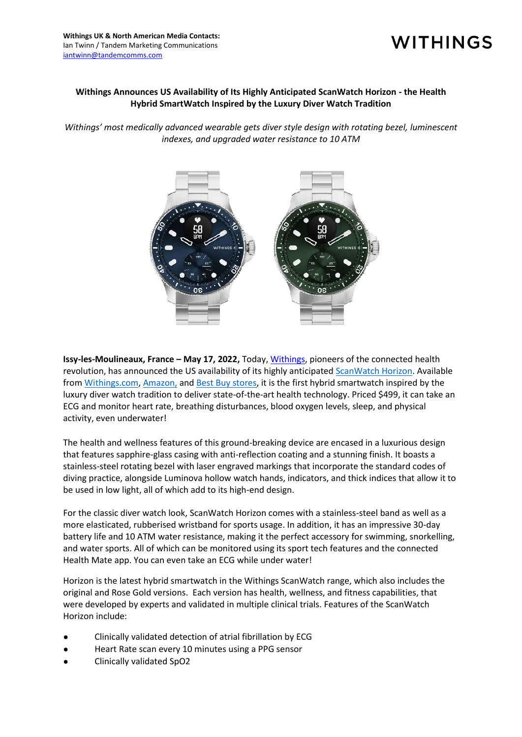## **WITHINGS**

## **Withings Announces US Availability of Its Highly Anticipated ScanWatch Horizon - the Health Hybrid SmartWatch Inspired by the Luxury Diver Watch Tradition**

*Withings' most medically advanced wearable gets diver style design with rotating bezel, luminescent indexes, and upgraded water resistance to 10 ATM*



**Issy-les-Moulineaux, France – May 17, 2022,** Today[, Withings,](http://www.withings.com/) pioneers of the connected health revolution, has announced the US availability of its highly anticipated [ScanWatch Horizon.](https://www.withings.com/us/en/scanwatch-horizon) Available from [Withings.com,](https://www.withings.com/us/en/scanwatch-horizon) [Amazon,](https://www.amazon.com/dp/B08D6LNBPN?th=1) and [Best Buy stores,](https://www.bestbuy.com/) it is the first hybrid smartwatch inspired by the luxury diver watch tradition to deliver state-of-the-art health technology. Priced \$499, it can take an ECG and monitor heart rate, breathing disturbances, blood oxygen levels, sleep, and physical activity, even underwater!

The health and wellness features of this ground-breaking device are encased in a luxurious design that features sapphire-glass casing with anti-reflection coating and a stunning finish. It boasts a stainless-steel rotating bezel with laser engraved markings that incorporate the standard codes of diving practice, alongside Luminova hollow watch hands, indicators, and thick indices that allow it to be used in low light, all of which add to its high-end design.

For the classic diver watch look, ScanWatch Horizon comes with a stainless-steel band as well as a more elasticated, rubberised wristband for sports usage. In addition, it has an impressive 30-day battery life and 10 ATM water resistance, making it the perfect accessory for swimming, snorkelling, and water sports. All of which can be monitored using its sport tech features and the connected Health Mate app. You can even take an ECG while under water!

Horizon is the latest hybrid smartwatch in the Withings ScanWatch range, which also includes the original and Rose Gold versions. Each version has health, wellness, and fitness capabilities, that were developed by experts and validated in multiple clinical trials. Features of the ScanWatch Horizon include:

- Clinically validated detection of atrial fibrillation by ECG
- Heart Rate scan every 10 minutes using a PPG sensor
- Clinically validated SpO2